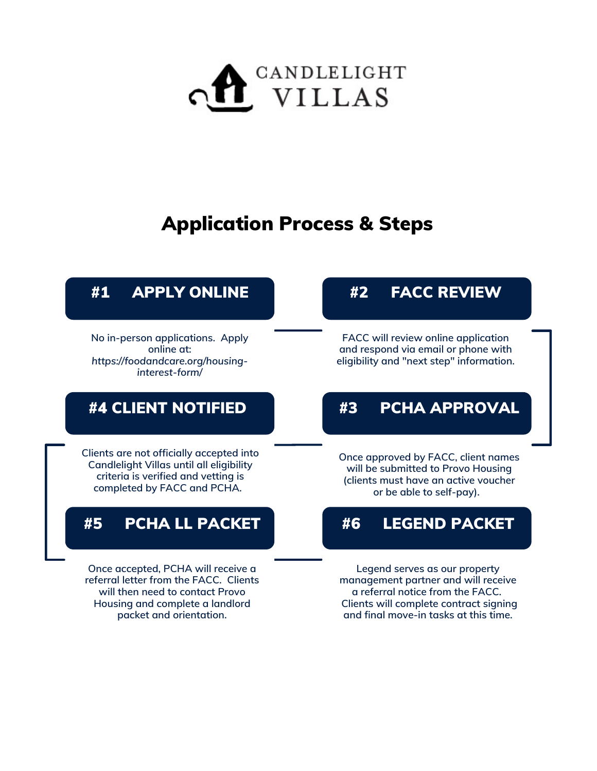

# Application Process & Steps

## #1 APPLY ONLINE

**No in-person applications. Apply online at:** *https://foodandcare.org/housinginterest-form/*

## #4 CLIENT NOTIFIED

**Clients are not officially accepted into Candlelight Villas until all eligibility criteria is verified and vetting is completed by FACC and PCHA.**

## #5 PCHA LL PACKET

**Once accepted, PCHA will receive a referral letter from the FACC. Clients will then need to contact Provo Housing and complete a landlord packet and orientation.**

## #2 FACC REVIEW

**FACC will review online application and respond via email or phone with eligibility and "next step" information.**

## #3 PCHA APPROVAL

**Once approved by FACC, client names will be submitted to Provo Housing (clients must have an active voucher or be able to self-pay).**

#### #6 LEGEND PACKET

**Legend serves as our property management partner and will receive a referral notice from the FACC. Clients will complete contract signing and final move-in tasks at this time.**